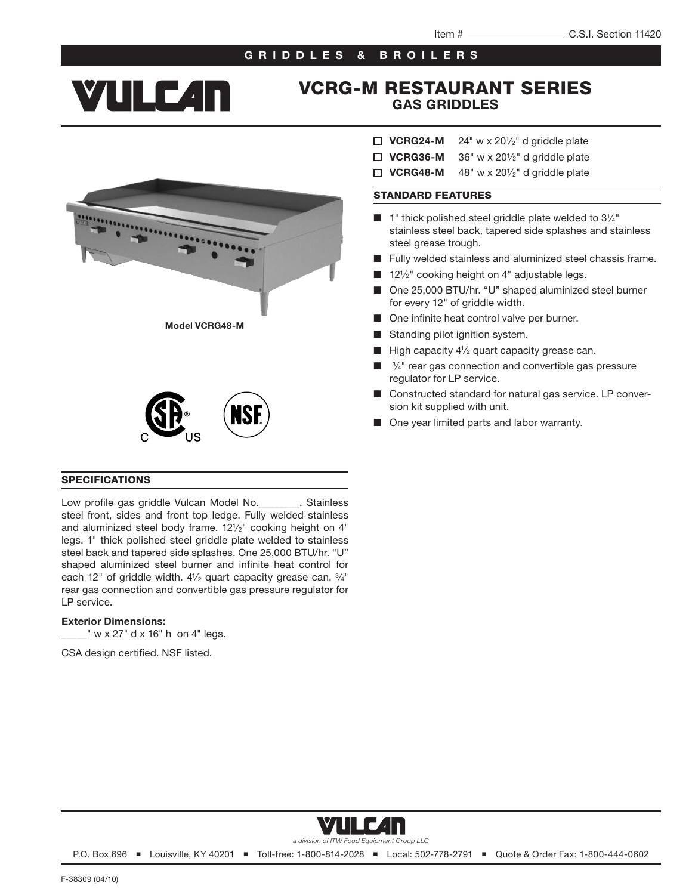## GRIDDLES & BROILERS

# **YULC4N**

## VCRG-M RESTAURANT SERIES GAS GRIDDLES

- $\Box$  VCRG24-M 24" w x 20 $\frac{1}{2}$ " d griddle plate
- $\Box$  VCRG36-M 36" w x 20 $\frac{1}{2}$ " d griddle plate
- $\Box$  VCRG48-M 48" w x 201/2" d griddle plate

## STANDARD FEATURES

- $\blacksquare$  1" thick polished steel griddle plate welded to  $3\frac{1}{4}$ " stainless steel back, tapered side splashes and stainless steel grease trough.
- Fully welded stainless and aluminized steel chassis frame.
- $12\frac{1}{2}$ " cooking height on 4" adjustable legs.
- One 25,000 BTU/hr. "U" shaped aluminized steel burner for every 12" of griddle width.
- One infinite heat control valve per burner.
- Standing pilot ignition system.
- High capacity  $4\frac{1}{2}$  quart capacity grease can.
- 3/4" rear gas connection and convertible gas pressure regulator for LP service.
- Constructed standard for natural gas service. LP conversion kit supplied with unit.
- One year limited parts and labor warranty.







#### SPECIFICATIONS

Low profile gas griddle Vulcan Model No.\_\_\_\_\_\_\_\_. Stainless steel front, sides and front top ledge. Fully welded stainless and aluminized steel body frame. 121/2" cooking height on 4" legs. 1" thick polished steel griddle plate welded to stainless steel back and tapered side splashes. One 25,000 BTU/hr. "U" shaped aluminized steel burner and infinite heat control for each 12" of griddle width. 41/2 quart capacity grease can. 3/4" rear gas connection and convertible gas pressure regulator for LP service.

## Exterior Dimensions:

 $\mathbb{L}^{\mathsf{m}}$  w x 27" d x 16" h on 4" legs.

CSA design certified. NSF listed.



P.O. Box 696 ■ Louisville, KY 40201 ■ Toll-free: 1-800-814-2028 ■ Local: 502-778-2791 ■ Quote & Order Fax: 1-800-444-0602